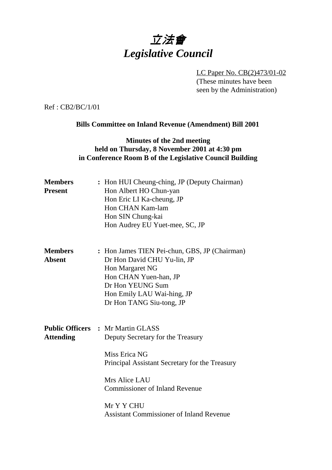# 立法會 *Legislative Council*

LC Paper No. CB(2)473/01-02 (These minutes have been seen by the Administration)

Ref : CB2/BC/1/01

#### **Bills Committee on Inland Revenue (Amendment) Bill 2001**

### **Minutes of the 2nd meeting held on Thursday, 8 November 2001 at 4:30 pm in Conference Room B of the Legislative Council Building**

| <b>Members</b><br><b>Present</b> | : Hon HUI Cheung-ching, JP (Deputy Chairman)<br>Hon Albert HO Chun-yan<br>Hon Eric LI Ka-cheung, JP<br>Hon CHAN Kam-lam<br>Hon SIN Chung-kai<br>Hon Audrey EU Yuet-mee, SC, JP                                                                                              |  |
|----------------------------------|-----------------------------------------------------------------------------------------------------------------------------------------------------------------------------------------------------------------------------------------------------------------------------|--|
| <b>Members</b><br><b>Absent</b>  | : Hon James TIEN Pei-chun, GBS, JP (Chairman)<br>Dr Hon David CHU Yu-lin, JP<br>Hon Margaret NG<br>Hon CHAN Yuen-han, JP<br>Dr Hon YEUNG Sum<br>Hon Emily LAU Wai-hing, JP<br>Dr Hon TANG Siu-tong, JP                                                                      |  |
| <b>Attending</b>                 | <b>Public Officers : Mr Martin GLASS</b><br>Deputy Secretary for the Treasury<br>Miss Erica NG<br>Principal Assistant Secretary for the Treasury<br>Mrs Alice LAU<br><b>Commissioner of Inland Revenue</b><br>Mr Y Y CHU<br><b>Assistant Commissioner of Inland Revenue</b> |  |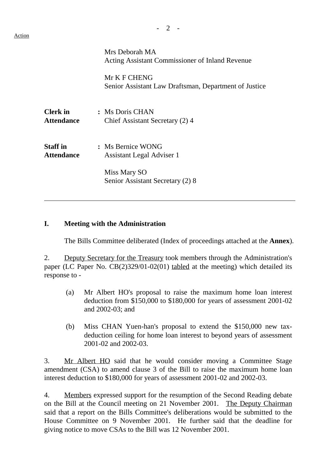$\overline{a}$ 

|                                      | Mrs Deborah MA<br>Acting Assistant Commissioner of Inland Revenue     |  |
|--------------------------------------|-----------------------------------------------------------------------|--|
|                                      | Mr K F CHENG<br>Senior Assistant Law Draftsman, Department of Justice |  |
| <b>Clerk</b> in<br><b>Attendance</b> | : Ms Doris CHAN<br>Chief Assistant Secretary (2) 4                    |  |
| <b>Staff</b> in<br><b>Attendance</b> | : Ms Bernice WONG<br>Assistant Legal Adviser 1                        |  |
|                                      | Miss Mary SO<br>Senior Assistant Secretary (2) 8                      |  |

#### **I. Meeting with the Administration**

The Bills Committee deliberated (Index of proceedings attached at the **Annex**).

2. Deputy Secretary for the Treasury took members through the Administration's paper (LC Paper No. CB(2)329/01-02(01) tabled at the meeting) which detailed its response to -

- (a) Mr Albert HO's proposal to raise the maximum home loan interest deduction from \$150,000 to \$180,000 for years of assessment 2001-02 and 2002-03; and
- (b) Miss CHAN Yuen-han's proposal to extend the \$150,000 new taxdeduction ceiling for home loan interest to beyond years of assessment 2001-02 and 2002-03.

3. Mr Albert HO said that he would consider moving a Committee Stage amendment (CSA) to amend clause 3 of the Bill to raise the maximum home loan interest deduction to \$180,000 for years of assessment 2001-02 and 2002-03.

4. Members expressed support for the resumption of the Second Reading debate on the Bill at the Council meeting on 21 November 2001. The Deputy Chairman said that a report on the Bills Committee's deliberations would be submitted to the House Committee on 9 November 2001. He further said that the deadline for giving notice to move CSAs to the Bill was 12 November 2001.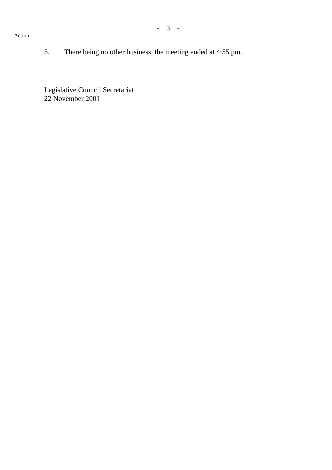#### Action

5. There being no other business, the meeting ended at 4:55 pm.

Legislative Council Secretariat 22 November 2001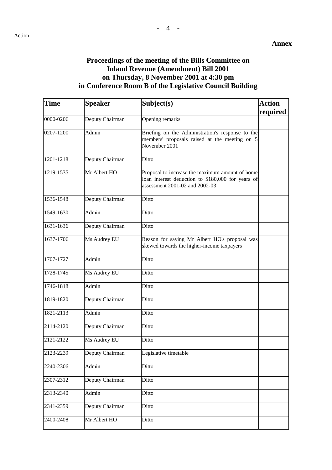## **Proceedings of the meeting of the Bills Committee on Inland Revenue (Amendment) Bill 2001 on Thursday, 8 November 2001 at 4:30 pm in Conference Room B of the Legislative Council Building**

| <b>Time</b> | <b>Speaker</b>  | Subject(s)                                                                                                                             | <b>Action</b> |
|-------------|-----------------|----------------------------------------------------------------------------------------------------------------------------------------|---------------|
|             |                 |                                                                                                                                        | required      |
| 0000-0206   | Deputy Chairman | Opening remarks                                                                                                                        |               |
| 0207-1200   | Admin           | Briefing on the Administration's response to the<br>members' proposals raised at the meeting on 5<br>November 2001                     |               |
| 1201-1218   | Deputy Chairman | Ditto                                                                                                                                  |               |
| 1219-1535   | Mr Albert HO    | Proposal to increase the maximum amount of home<br>loan interest deduction to \$180,000 for years of<br>assessment 2001-02 and 2002-03 |               |
| 1536-1548   | Deputy Chairman | Ditto                                                                                                                                  |               |
| 1549-1630   | Admin           | Ditto                                                                                                                                  |               |
| 1631-1636   | Deputy Chairman | Ditto                                                                                                                                  |               |
| 1637-1706   | Ms Audrey EU    | Reason for saying Mr Albert HO's proposal was<br>skewed towards the higher-income taxpayers                                            |               |
| 1707-1727   | Admin           | Ditto                                                                                                                                  |               |
| 1728-1745   | Ms Audrey EU    | Ditto                                                                                                                                  |               |
| 1746-1818   | Admin           | Ditto                                                                                                                                  |               |
| 1819-1820   | Deputy Chairman | Ditto                                                                                                                                  |               |
| 1821-2113   | Admin           | Ditto                                                                                                                                  |               |
| 2114-2120   | Deputy Chairman | Ditto                                                                                                                                  |               |
| 2121-2122   | Ms Audrey EU    | Ditto                                                                                                                                  |               |
| 2123-2239   | Deputy Chairman | Legislative timetable                                                                                                                  |               |
| 2240-2306   | Admin           | Ditto                                                                                                                                  |               |
| 2307-2312   | Deputy Chairman | Ditto                                                                                                                                  |               |
| 2313-2340   | Admin           | Ditto                                                                                                                                  |               |
| 2341-2359   | Deputy Chairman | Ditto                                                                                                                                  |               |
| 2400-2408   | Mr Albert HO    | Ditto                                                                                                                                  |               |